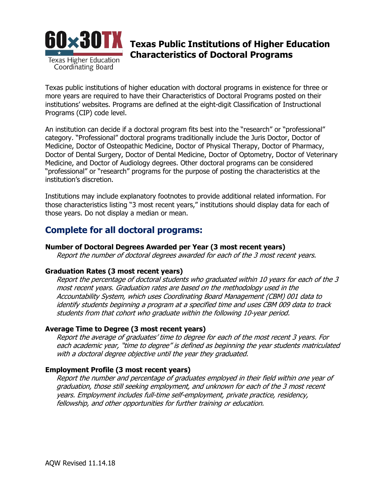

# **Texas Public Institutions of Higher Education Characteristics of Doctoral Programs**

Texas public institutions of higher education with doctoral programs in existence for three or more years are required to have their Characteristics of Doctoral Programs posted on their institutions' websites. Programs are defined at the eight-digit Classification of Instructional Programs (CIP) code level.

An institution can decide if a doctoral program fits best into the "research" or "professional" category. "Professional" doctoral programs traditionally include the Juris Doctor, Doctor of Medicine, Doctor of Osteopathic Medicine, Doctor of Physical Therapy, Doctor of Pharmacy, Doctor of Dental Surgery, Doctor of Dental Medicine, Doctor of Optometry, Doctor of Veterinary Medicine, and Doctor of Audiology degrees. Other doctoral programs can be considered "professional" or "research" programs for the purpose of posting the characteristics at the institution's discretion.

Institutions may include explanatory footnotes to provide additional related information. For those characteristics listing "3 most recent years," institutions should display data for each of those years. Do not display a median or mean.

## **Complete for all doctoral programs:**

#### **Number of Doctoral Degrees Awarded per Year (3 most recent years)**

Report the number of doctoral degrees awarded for each of the 3 most recent years.

#### **Graduation Rates (3 most recent years)**

Report the percentage of doctoral students who graduated within 10 years for each of the 3 most recent years. Graduation rates are based on the methodology used in the Accountability System, which uses Coordinating Board Management (CBM) 001 data to identify students beginning a program at a specified time and uses CBM 009 data to track students from that cohort who graduate within the following 10-year period.

## **Average Time to Degree (3 most recent years)**

Report the average of graduates' time to degree for each of the most recent 3 years. For each academic year, "time to degree" is defined as beginning the year students matriculated with a doctoral degree objective until the year they graduated.

## **Employment Profile (3 most recent years)**

Report the number and percentage of graduates employed in their field within one year of graduation, those still seeking employment, and unknown for each of the 3 most recent years. Employment includes full-time self-employment, private practice, residency, fellowship, and other opportunities for further training or education.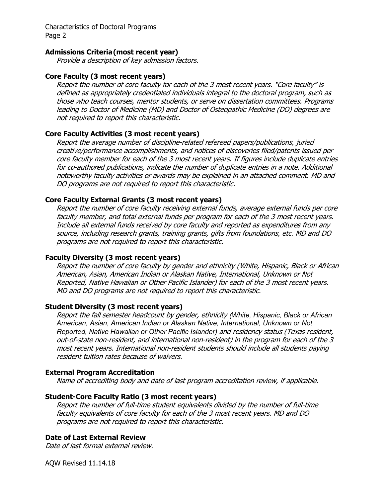Characteristics of Doctoral Programs Page 2

#### **Admissions Criteria(most recent year)**

Provide a description of key admission factors.

### **Core Faculty (3 most recent years)**

Report the number of core faculty for each of the 3 most recent years. "Core faculty" is defined as appropriately credentialed individuals integral to the doctoral program, such as those who teach courses, mentor students, or serve on dissertation committees. Programs leading to Doctor of Medicine (MD) and Doctor of Osteopathic Medicine (DO) degrees are not required to report this characteristic.

#### **Core Faculty Activities (3 most recent years)**

Report the average number of discipline-related refereed papers/publications, juried creative/performance accomplishments, and notices of discoveries filed/patents issued per core faculty member for each of the 3 most recent years. If figures include duplicate entries for co-authored publications, indicate the number of duplicate entries in a note. Additional noteworthy faculty activities or awards may be explained in an attached comment. MD and DO programs are not required to report this characteristic.

#### **Core Faculty External Grants (3 most recent years)**

Report the number of core faculty receiving external funds, average external funds per core faculty member, and total external funds per program for each of the 3 most recent years. Include all external funds received by core faculty and reported as expenditures from any source, including research grants, training grants, gifts from foundations, etc. MD and DO programs are not required to report this characteristic.

#### **Faculty Diversity (3 most recent years)**

Report the number of core faculty by gender and ethnicity (White, Hispanic, Black or African American, Asian, American Indian or Alaskan Native, International, Unknown or Not Reported, Native Hawaiian or Other Pacific Islander) for each of the 3 most recent years. MD and DO programs are not required to report this characteristic.

## **Student Diversity (3 most recent years)**

Report the fall semester headcount by gender, ethnicity (*White, Hispanic, Black or African American, Asian, American Indian or Alaskan Native, International, Unknown or Not Reported, Native Hawaiian or Other Pacific Islander)* and residency status (Texas resident, out-of-state non-resident, and international non-resident) in the program for each of the 3 most recent years. International non-resident students should include all students paying resident tuition rates because of waivers.

#### **External Program Accreditation**

Name of accrediting body and date of last program accreditation review, if applicable.

#### **Student-Core Faculty Ratio (3 most recent years)**

Report the number of full-time student equivalents divided by the number of full-time faculty equivalents of core faculty for each of the 3 most recent years. MD and DO programs are not required to report this characteristic.

## **Date of Last External Review**

Date of last formal external review.

AQW Revised 11.14.18